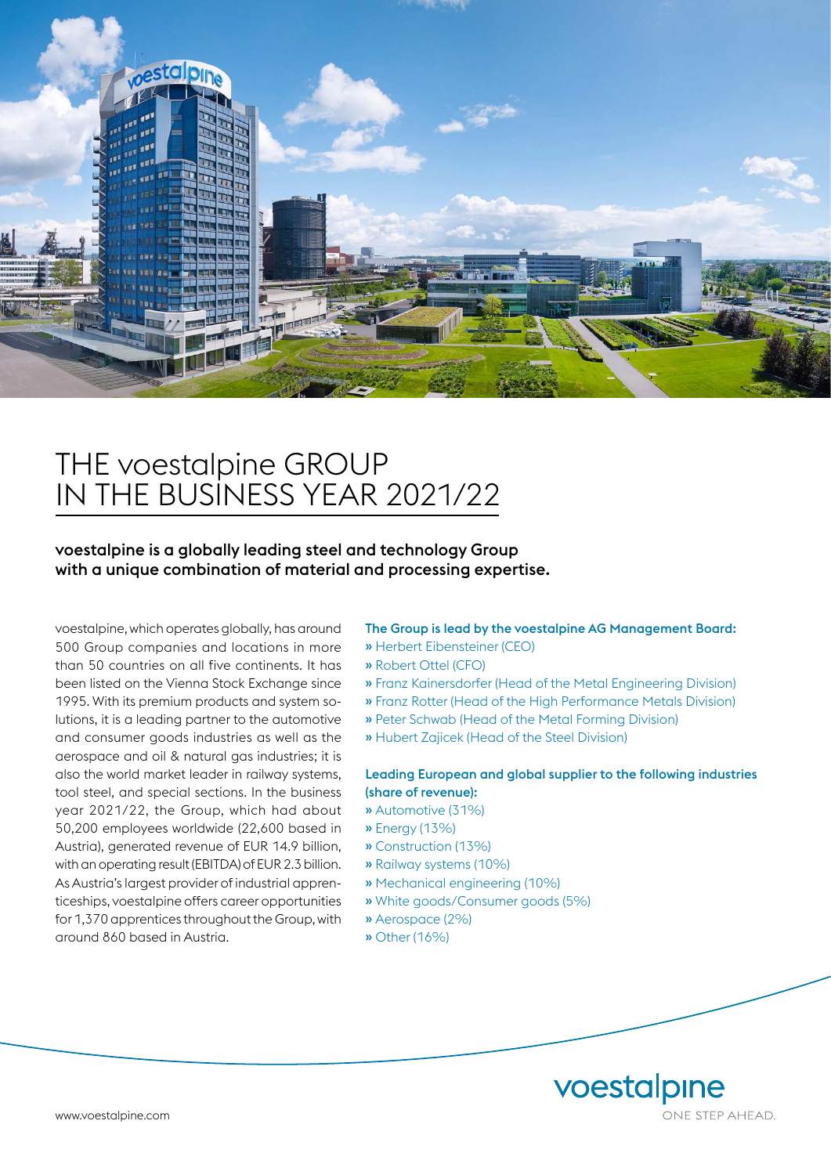

# THE voestalpine GROUP IN THE BUSINESS YEAR 2021/22

voestalpine is a globally leading steel and technology Group with a unique combination of material and processing expertise.

voestalpine, which operates globally, has around 500 Group companies and locations in more than 50 countries on all five continents. It has been listed on the Vienna Stock Exchange since 1995. With its premium products and system solutions, it is a leading partner to the automotive and consumer goods industries as well as the aerospace and oil & natural gas industries; it is also the world market leader in railway systems, tool steel, and special sections. In the business year 2021/22, the Group, which had about 50,200 employees worldwide (22,600 based in Austria), generated revenue of EUR 14.9 billion, with an operating result (EBITDA) of EUR 2.3 billion. As Austria's largest provider of industrial apprenticeships, voestalpine offers career opportunities for 1,370 apprentices throughout the Group, with around 860 based in Austria.

#### The Group is lead by the voestalpine AG Management Board:

- » Herbert Eibensteiner (CEO)
- » Robert Ottel (CFO)
- » Franz Kainersdorfer (Head of the Metal Engineering Division)
- » Franz Rotter (Head of the High Performance Metals Division)
- » Peter Schwab (Head of the Metal Forming Division)
- » Hubert Zajicek (Head of the Steel Division)

#### Leading European and global supplier to the following industries (share of revenue):

- » Automotive (31%)
- » Energy (13%)
- » Construction (13%)
- » Railway systems (10%)
- » Mechanical engineering (10%)
- » White goods/Consumer goods (5%)
- » Aerospace (2%)
- » Other (16%)